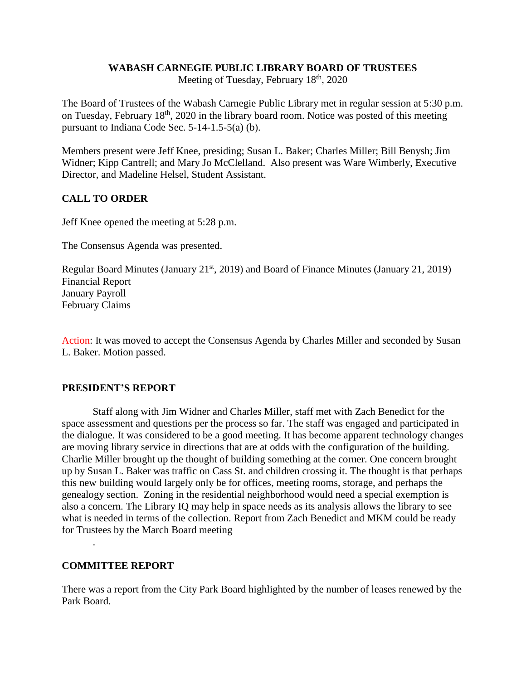# **WABASH CARNEGIE PUBLIC LIBRARY BOARD OF TRUSTEES**

Meeting of Tuesday, February 18<sup>th</sup>, 2020

The Board of Trustees of the Wabash Carnegie Public Library met in regular session at 5:30 p.m. on Tuesday, February 18<sup>th</sup>, 2020 in the library board room. Notice was posted of this meeting pursuant to Indiana Code Sec. 5-14-1.5-5(a) (b).

Members present were Jeff Knee, presiding; Susan L. Baker; Charles Miller; Bill Benysh; Jim Widner; Kipp Cantrell; and Mary Jo McClelland. Also present was Ware Wimberly, Executive Director, and Madeline Helsel, Student Assistant.

# **CALL TO ORDER**

Jeff Knee opened the meeting at 5:28 p.m.

The Consensus Agenda was presented.

Regular Board Minutes (January 21<sup>st</sup>, 2019) and Board of Finance Minutes (January 21, 2019) Financial Report January Payroll February Claims

Action: It was moved to accept the Consensus Agenda by Charles Miller and seconded by Susan L. Baker. Motion passed.

# **PRESIDENT'S REPORT**

Staff along with Jim Widner and Charles Miller, staff met with Zach Benedict for the space assessment and questions per the process so far. The staff was engaged and participated in the dialogue. It was considered to be a good meeting. It has become apparent technology changes are moving library service in directions that are at odds with the configuration of the building. Charlie Miller brought up the thought of building something at the corner. One concern brought up by Susan L. Baker was traffic on Cass St. and children crossing it. The thought is that perhaps this new building would largely only be for offices, meeting rooms, storage, and perhaps the genealogy section. Zoning in the residential neighborhood would need a special exemption is also a concern. The Library IQ may help in space needs as its analysis allows the library to see what is needed in terms of the collection. Report from Zach Benedict and MKM could be ready for Trustees by the March Board meeting

# **COMMITTEE REPORT**

.

There was a report from the City Park Board highlighted by the number of leases renewed by the Park Board.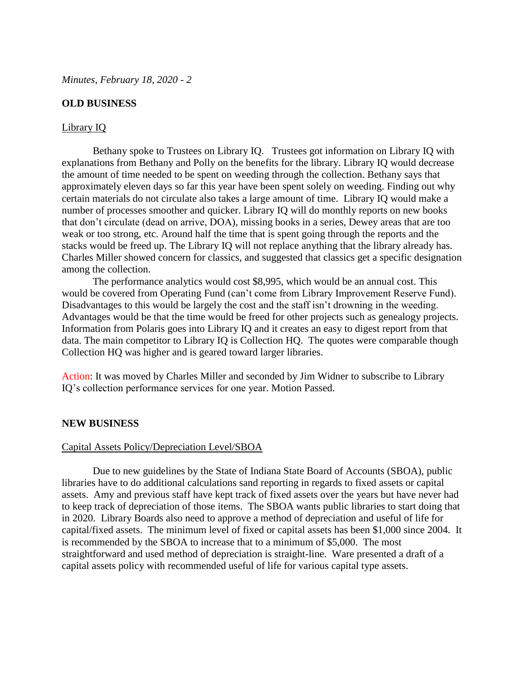### **OLD BUSINESS**

#### Library IQ

Bethany spoke to Trustees on Library IQ. Trustees got information on Library IQ with explanations from Bethany and Polly on the benefits for the library. Library IQ would decrease the amount of time needed to be spent on weeding through the collection. Bethany says that approximately eleven days so far this year have been spent solely on weeding. Finding out why certain materials do not circulate also takes a large amount of time. Library IQ would make a number of processes smoother and quicker. Library IQ will do monthly reports on new books that don't circulate (dead on arrive, DOA), missing books in a series, Dewey areas that are too weak or too strong, etc. Around half the time that is spent going through the reports and the stacks would be freed up. The Library IQ will not replace anything that the library already has. Charles Miller showed concern for classics, and suggested that classics get a specific designation among the collection.

The performance analytics would cost \$8,995, which would be an annual cost. This would be covered from Operating Fund (can't come from Library Improvement Reserve Fund). Disadvantages to this would be largely the cost and the staff isn't drowning in the weeding. Advantages would be that the time would be freed for other projects such as genealogy projects. Information from Polaris goes into Library IQ and it creates an easy to digest report from that data. The main competitor to Library IQ is Collection HQ. The quotes were comparable though Collection HQ was higher and is geared toward larger libraries.

Action: It was moved by Charles Miller and seconded by Jim Widner to subscribe to Library IQ's collection performance services for one year. Motion Passed.

#### **NEW BUSINESS**

#### Capital Assets Policy/Depreciation Level/SBOA

Due to new guidelines by the State of Indiana State Board of Accounts (SBOA), public libraries have to do additional calculations sand reporting in regards to fixed assets or capital assets. Amy and previous staff have kept track of fixed assets over the years but have never had to keep track of depreciation of those items. The SBOA wants public libraries to start doing that in 2020. Library Boards also need to approve a method of depreciation and useful of life for capital/fixed assets. The minimum level of fixed or capital assets has been \$1,000 since 2004. It is recommended by the SBOA to increase that to a minimum of \$5,000. The most straightforward and used method of depreciation is straight-line. Ware presented a draft of a capital assets policy with recommended useful of life for various capital type assets.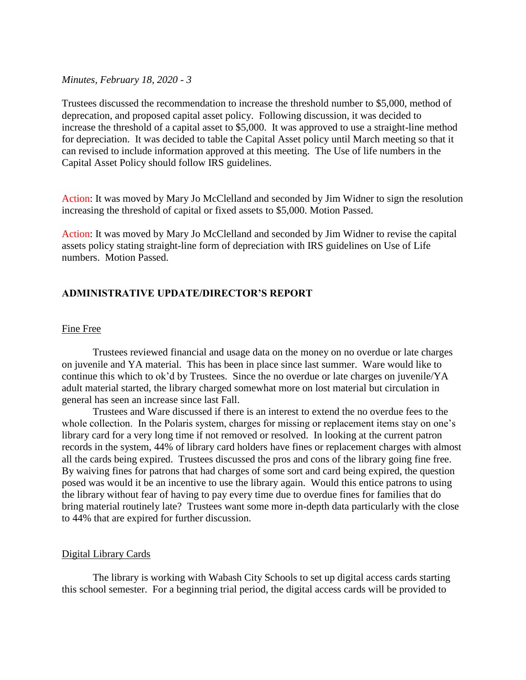*Minutes, February 18, 2020 - 3*

Trustees discussed the recommendation to increase the threshold number to \$5,000, method of deprecation, and proposed capital asset policy. Following discussion, it was decided to increase the threshold of a capital asset to \$5,000. It was approved to use a straight-line method for depreciation. It was decided to table the Capital Asset policy until March meeting so that it can revised to include information approved at this meeting. The Use of life numbers in the Capital Asset Policy should follow IRS guidelines.

Action: It was moved by Mary Jo McClelland and seconded by Jim Widner to sign the resolution increasing the threshold of capital or fixed assets to \$5,000. Motion Passed.

Action: It was moved by Mary Jo McClelland and seconded by Jim Widner to revise the capital assets policy stating straight-line form of depreciation with IRS guidelines on Use of Life numbers. Motion Passed.

# **ADMINISTRATIVE UPDATE/DIRECTOR'S REPORT**

#### Fine Free

Trustees reviewed financial and usage data on the money on no overdue or late charges on juvenile and YA material. This has been in place since last summer. Ware would like to continue this which to ok'd by Trustees. Since the no overdue or late charges on juvenile/YA adult material started, the library charged somewhat more on lost material but circulation in general has seen an increase since last Fall.

Trustees and Ware discussed if there is an interest to extend the no overdue fees to the whole collection. In the Polaris system, charges for missing or replacement items stay on one's library card for a very long time if not removed or resolved. In looking at the current patron records in the system, 44% of library card holders have fines or replacement charges with almost all the cards being expired. Trustees discussed the pros and cons of the library going fine free. By waiving fines for patrons that had charges of some sort and card being expired, the question posed was would it be an incentive to use the library again. Would this entice patrons to using the library without fear of having to pay every time due to overdue fines for families that do bring material routinely late? Trustees want some more in-depth data particularly with the close to 44% that are expired for further discussion.

#### Digital Library Cards

The library is working with Wabash City Schools to set up digital access cards starting this school semester. For a beginning trial period, the digital access cards will be provided to